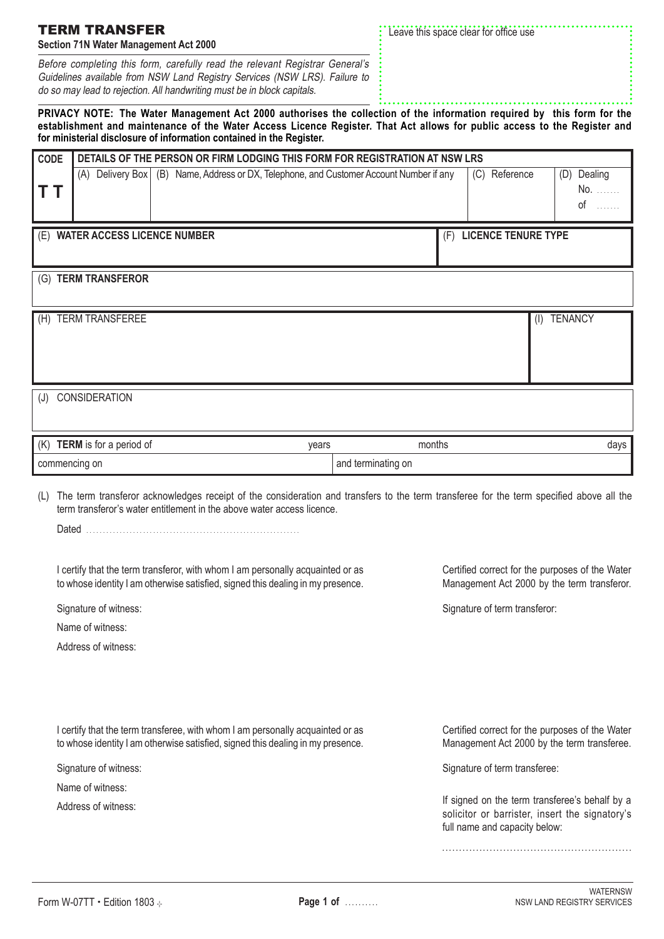| TERM TRANSFER<br><b>Section 71N Water Management Act 2000</b> |                                                                                                                                                                                                                                                                                                                             |       | Leave this space clear for office use |  |                                                                                                                                   |                       |                            |  |  |
|---------------------------------------------------------------|-----------------------------------------------------------------------------------------------------------------------------------------------------------------------------------------------------------------------------------------------------------------------------------------------------------------------------|-------|---------------------------------------|--|-----------------------------------------------------------------------------------------------------------------------------------|-----------------------|----------------------------|--|--|
|                                                               | Before completing this form, carefully read the relevant Registrar General's<br>Guidelines available from NSW Land Registry Services (NSW LRS). Failure to<br>do so may lead to rejection. All handwriting must be in block capitals.                                                                                       |       |                                       |  |                                                                                                                                   |                       |                            |  |  |
|                                                               | PRIVACY NOTE: The Water Management Act 2000 authorises the collection of the information required by this form for the<br>establishment and maintenance of the Water Access Licence Register. That Act allows for public access to the Register and<br>for ministerial disclosure of information contained in the Register. |       |                                       |  |                                                                                                                                   |                       |                            |  |  |
| <b>CODE</b>                                                   | DETAILS OF THE PERSON OR FIRM LODGING THIS FORM FOR REGISTRATION AT NSW LRS                                                                                                                                                                                                                                                 |       |                                       |  |                                                                                                                                   |                       |                            |  |  |
| т т                                                           | (A) Delivery Box (B) Name, Address or DX, Telephone, and Customer Account Number if any                                                                                                                                                                                                                                     |       |                                       |  | (C) Reference                                                                                                                     |                       | (D) Dealing<br>No.<br>$of$ |  |  |
|                                                               | (E) WATER ACCESS LICENCE NUMBER                                                                                                                                                                                                                                                                                             |       |                                       |  | (F) LICENCE TENURE TYPE                                                                                                           |                       |                            |  |  |
|                                                               | (G) TERM TRANSFEROR                                                                                                                                                                                                                                                                                                         |       |                                       |  |                                                                                                                                   |                       |                            |  |  |
|                                                               | (H) TERM TRANSFEREE                                                                                                                                                                                                                                                                                                         |       |                                       |  |                                                                                                                                   | <b>TENANCY</b><br>(1) |                            |  |  |
|                                                               |                                                                                                                                                                                                                                                                                                                             |       |                                       |  |                                                                                                                                   |                       |                            |  |  |
|                                                               |                                                                                                                                                                                                                                                                                                                             |       |                                       |  |                                                                                                                                   |                       |                            |  |  |
|                                                               | (J) CONSIDERATION                                                                                                                                                                                                                                                                                                           |       |                                       |  |                                                                                                                                   |                       |                            |  |  |
|                                                               |                                                                                                                                                                                                                                                                                                                             |       |                                       |  |                                                                                                                                   |                       |                            |  |  |
|                                                               | (K) TERM is for a period of                                                                                                                                                                                                                                                                                                 | years | months                                |  |                                                                                                                                   |                       | days                       |  |  |
|                                                               | commencing on                                                                                                                                                                                                                                                                                                               |       | and terminating on                    |  |                                                                                                                                   |                       |                            |  |  |
|                                                               | The term transferor acknowledges receipt of the consideration and transfers to the term transferee for the term specified above all the<br>term transferor's water entitlement in the above water access licence.                                                                                                           |       |                                       |  |                                                                                                                                   |                       |                            |  |  |
|                                                               |                                                                                                                                                                                                                                                                                                                             |       |                                       |  |                                                                                                                                   |                       |                            |  |  |
|                                                               | I certify that the term transferor, with whom I am personally acquainted or as<br>to whose identity I am otherwise satisfied, signed this dealing in my presence.                                                                                                                                                           |       |                                       |  | Certified correct for the purposes of the Water<br>Management Act 2000 by the term transferor.                                    |                       |                            |  |  |
|                                                               | Signature of witness:                                                                                                                                                                                                                                                                                                       |       |                                       |  | Signature of term transferor:                                                                                                     |                       |                            |  |  |
|                                                               | Name of witness:                                                                                                                                                                                                                                                                                                            |       |                                       |  |                                                                                                                                   |                       |                            |  |  |
|                                                               | Address of witness:                                                                                                                                                                                                                                                                                                         |       |                                       |  |                                                                                                                                   |                       |                            |  |  |
|                                                               |                                                                                                                                                                                                                                                                                                                             |       |                                       |  |                                                                                                                                   |                       |                            |  |  |
|                                                               | I certify that the term transferee, with whom I am personally acquainted or as<br>to whose identity I am otherwise satisfied, signed this dealing in my presence.                                                                                                                                                           |       |                                       |  | Certified correct for the purposes of the Water<br>Management Act 2000 by the term transferee.                                    |                       |                            |  |  |
|                                                               | Signature of witness:                                                                                                                                                                                                                                                                                                       |       |                                       |  | Signature of term transferee:                                                                                                     |                       |                            |  |  |
|                                                               | Name of witness:                                                                                                                                                                                                                                                                                                            |       |                                       |  |                                                                                                                                   |                       |                            |  |  |
|                                                               | Address of witness:                                                                                                                                                                                                                                                                                                         |       |                                       |  | If signed on the term transferee's behalf by a<br>solicitor or barrister, insert the signatory's<br>full name and capacity below: |                       |                            |  |  |